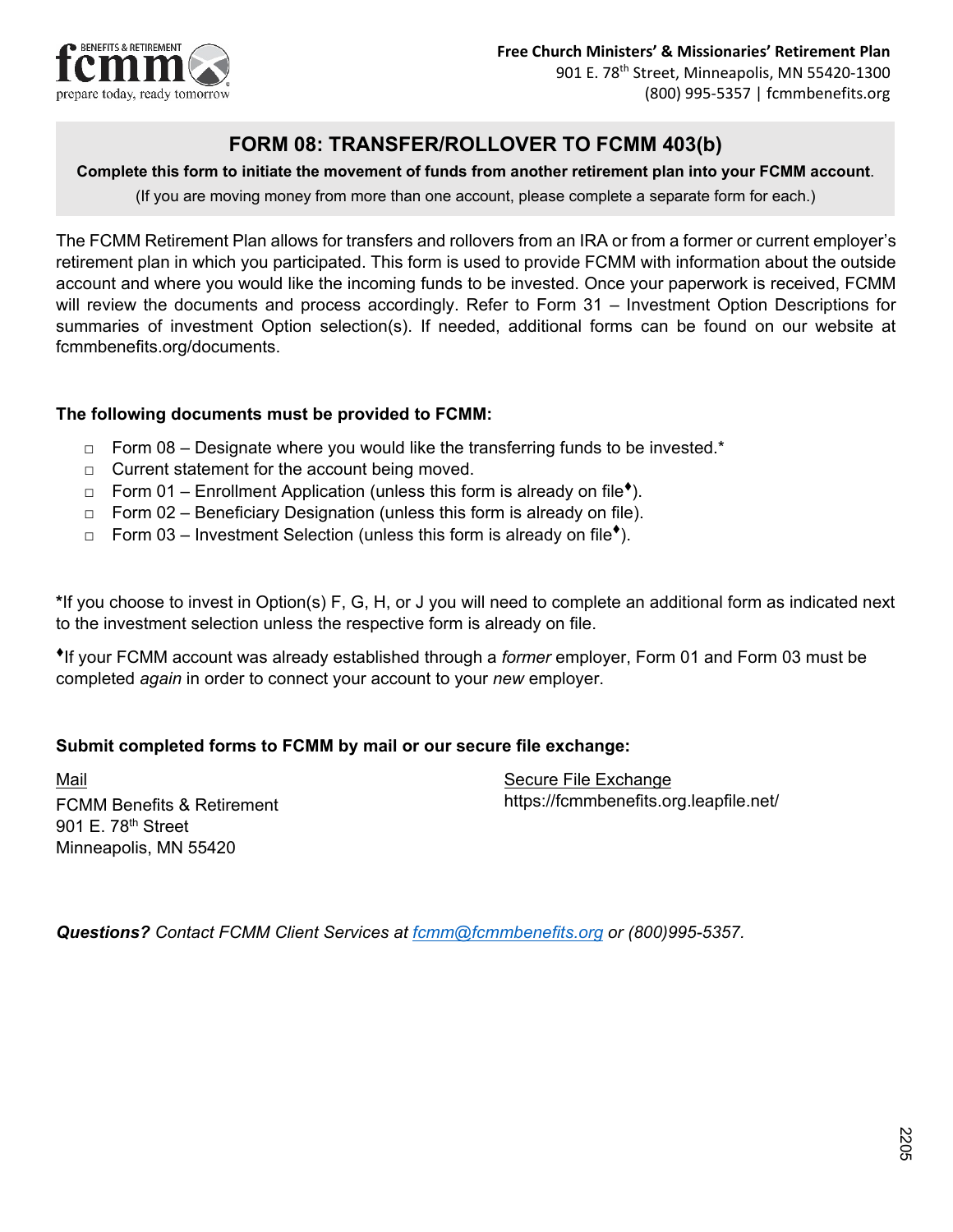

# **FORM 08: TRANSFER/ROLLOVER TO FCMM 403(b)**

#### **Complete this form to initiate the movement of funds from another retirement plan into your FCMM account**.

(If you are moving money from more than one account, please complete a separate form for each.)

The FCMM Retirement Plan allows for transfers and rollovers from an IRA or from a former or current employer's retirement plan in which you participated. This form is used to provide FCMM with information about the outside account and where you would like the incoming funds to be invested. Once your paperwork is received, FCMM will review the documents and process accordingly. Refer to Form 31 – Investment Option Descriptions for summaries of investment Option selection(s). If needed, additional forms can be found on our website at fcmmbenefits.org/documents.

## **The following documents must be provided to FCMM:**

- $\Box$  Form 08 Designate where you would like the transferring funds to be invested.\*
- $\Box$  Current statement for the account being moved.
- $\Box$  Form 01 Enrollment Application (unless this form is already on file<sup> $\bullet$ </sup>).
- $\Box$  Form 02 Beneficiary Designation (unless this form is already on file).
- $\Box$  Form 03 Investment Selection (unless this form is already on file<sup> $\dagger$ </sup>).

**\***If you choose to invest in Option(s) F, G, H, or J you will need to complete an additional form as indicated next to the investment selection unless the respective form is already on file.

If your FCMM account was already established through a *former* employer, Form 01 and Form 03 must be completed *again* in order to connect your account to your *new* employer.

#### **Submit completed forms to FCMM by mail or our secure file exchange:**

Mail FCMM Benefits & Retirement 901 F. 78<sup>th</sup> Street Minneapolis, MN 55420

Secure File Exchange https://fcmmbenefits.org.leapfile.net/

*Questions? Contact FCMM Client Services at [fcmm@fcmmbenefits.org](mailto:fcmm@fcmmbenefits.org) or (800)995-5357.*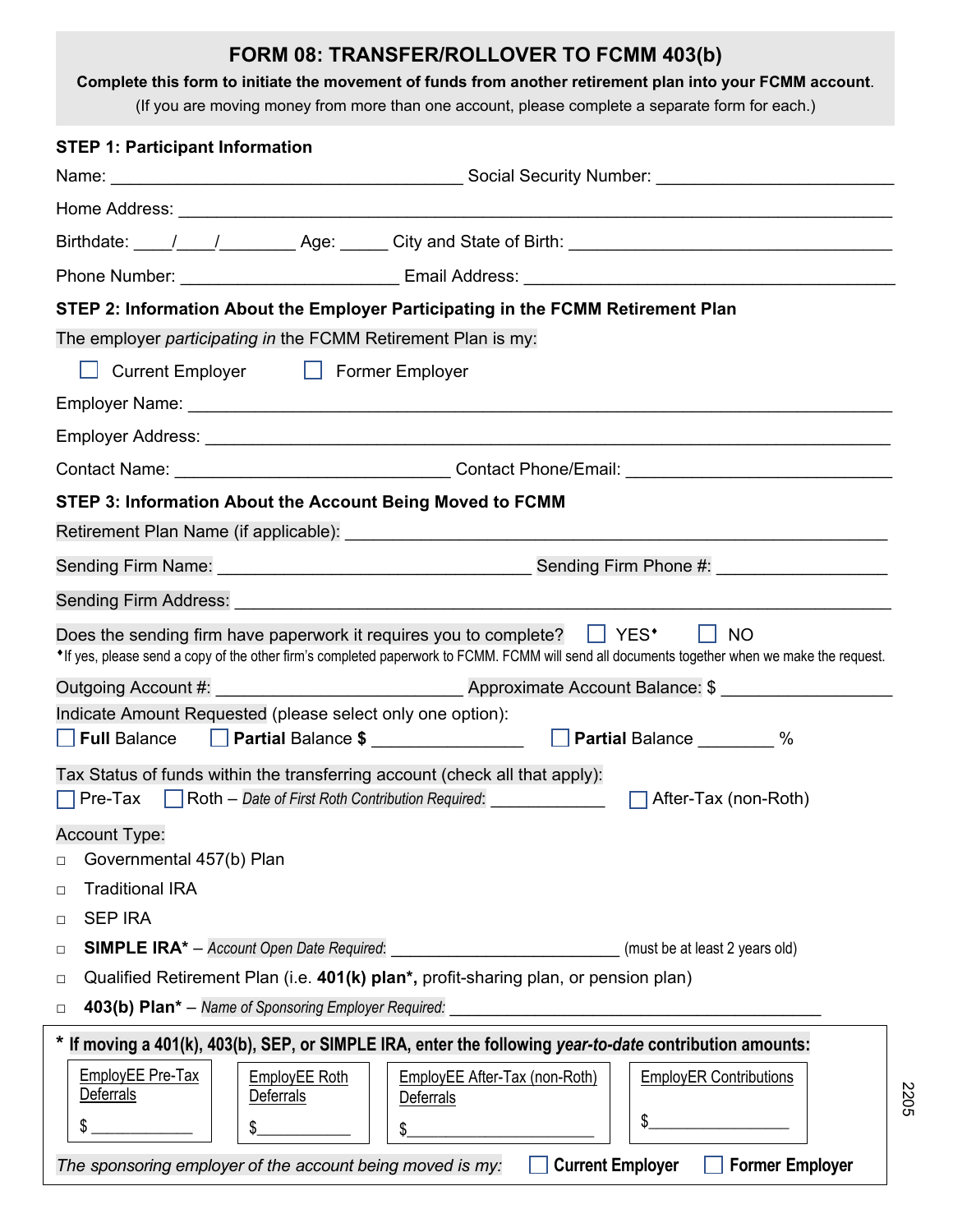| FORM 08: TRANSFER/ROLLOVER TO FCMM 403(b)<br>Complete this form to initiate the movement of funds from another retirement plan into your FCMM account.<br>(If you are moving money from more than one account, please complete a separate form for each.) |
|-----------------------------------------------------------------------------------------------------------------------------------------------------------------------------------------------------------------------------------------------------------|
| <b>STEP 1: Participant Information</b>                                                                                                                                                                                                                    |
|                                                                                                                                                                                                                                                           |
|                                                                                                                                                                                                                                                           |
|                                                                                                                                                                                                                                                           |
|                                                                                                                                                                                                                                                           |
| STEP 2: Information About the Employer Participating in the FCMM Retirement Plan                                                                                                                                                                          |
| The employer participating in the FCMM Retirement Plan is my:                                                                                                                                                                                             |
| Current Employer   Former Employer                                                                                                                                                                                                                        |
|                                                                                                                                                                                                                                                           |
|                                                                                                                                                                                                                                                           |
|                                                                                                                                                                                                                                                           |
| STEP 3: Information About the Account Being Moved to FCMM                                                                                                                                                                                                 |
|                                                                                                                                                                                                                                                           |
|                                                                                                                                                                                                                                                           |
|                                                                                                                                                                                                                                                           |
| <b>NO</b><br>Does the sending firm have paperwork it requires you to complete? $\Box$ YES*<br>• If yes, please send a copy of the other firm's completed paperwork to FCMM. FCMM will send all documents together when we make the request.               |
|                                                                                                                                                                                                                                                           |
| Indicate Amount Requested (please select only one option):                                                                                                                                                                                                |
| <b>Partial Balance</b><br>$\frac{0}{0}$<br><b>Full Balance</b><br><b>Partial Balance \$</b>                                                                                                                                                               |
| Tax Status of funds within the transferring account (check all that apply):<br>$\Box$ Roth $-$ Date of First Roth Contribution Required:<br>$\Box$ Pre-Tax<br>After-Tax (non-Roth)                                                                        |
| Account Type:                                                                                                                                                                                                                                             |
| Governmental 457(b) Plan<br>□                                                                                                                                                                                                                             |
| <b>Traditional IRA</b><br>$\Box$                                                                                                                                                                                                                          |
| <b>SEP IRA</b><br>$\Box$                                                                                                                                                                                                                                  |
| <b>SIMPLE IRA</b> * - Account Open Date Required: _________________________________(must be at least 2 years old)<br>$\Box$                                                                                                                               |
| Qualified Retirement Plan (i.e. 401(k) plan*, profit-sharing plan, or pension plan)<br>□                                                                                                                                                                  |
| 403(b) Plan* - Name of Sponsoring Employer Required:<br>$\Box$                                                                                                                                                                                            |
| * If moving a 401(k), 403(b), SEP, or SIMPLE IRA, enter the following year-to-date contribution amounts:                                                                                                                                                  |
| <b>EmployEE Pre-Tax</b><br><b>EmployEE Roth</b><br><b>EmployEE After-Tax (non-Roth)</b><br><b>EmployER Contributions</b><br><b>Deferrals</b><br>Deferrals<br>Deferrals                                                                                    |
| \$<br>\$<br>\$                                                                                                                                                                                                                                            |
| <b>Current Employer</b><br><b>Former Employer</b><br>The sponsoring employer of the account being moved is my:                                                                                                                                            |

220 5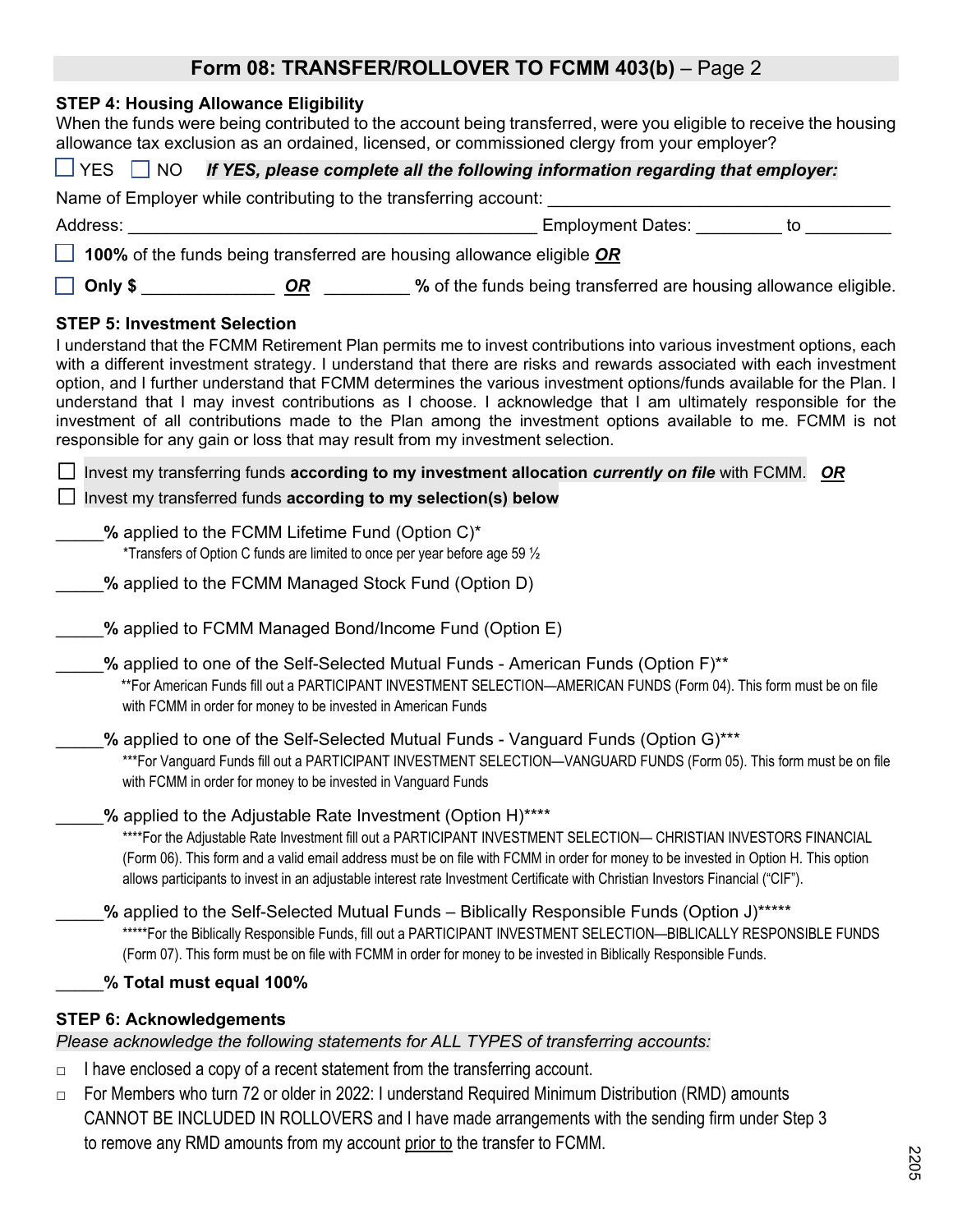# Form 08: TRANSFER/ROLLOVER TO FCMM 403(b) - Page 2

|  |  | STEP 4: Housing Allowance Eligibility |  |
|--|--|---------------------------------------|--|
|--|--|---------------------------------------|--|

| When the funds were being contributed to the account being transferred, were you eligible to receive the housing<br>allowance tax exclusion as an ordained, licensed, or commissioned clergy from your employer?                                                                                                                                                                                                                                                                                                                                                                                                                                                                                                            |
|-----------------------------------------------------------------------------------------------------------------------------------------------------------------------------------------------------------------------------------------------------------------------------------------------------------------------------------------------------------------------------------------------------------------------------------------------------------------------------------------------------------------------------------------------------------------------------------------------------------------------------------------------------------------------------------------------------------------------------|
| $\Box$ YES $\Box$ NO<br>If YES, please complete all the following information regarding that employer:                                                                                                                                                                                                                                                                                                                                                                                                                                                                                                                                                                                                                      |
| Name of Employer while contributing to the transferring account: ________________                                                                                                                                                                                                                                                                                                                                                                                                                                                                                                                                                                                                                                           |
| Employment Dates: _________ to<br>Address:                                                                                                                                                                                                                                                                                                                                                                                                                                                                                                                                                                                                                                                                                  |
| 100% of the funds being transferred are housing allowance eligible OR                                                                                                                                                                                                                                                                                                                                                                                                                                                                                                                                                                                                                                                       |
| OR _________ % of the funds being transferred are housing allowance eligible.<br>Only \$                                                                                                                                                                                                                                                                                                                                                                                                                                                                                                                                                                                                                                    |
| <b>STEP 5: Investment Selection</b><br>I understand that the FCMM Retirement Plan permits me to invest contributions into various investment options, each<br>with a different investment strategy. I understand that there are risks and rewards associated with each investment<br>option, and I further understand that FCMM determines the various investment options/funds available for the Plan. I<br>understand that I may invest contributions as I choose. I acknowledge that I am ultimately responsible for the<br>investment of all contributions made to the Plan among the investment options available to me. FCMM is not<br>responsible for any gain or loss that may result from my investment selection. |
| Invest my transferring funds according to my investment allocation currently on file with FCMM. OR<br>Invest my transferred funds according to my selection(s) below                                                                                                                                                                                                                                                                                                                                                                                                                                                                                                                                                        |
| % applied to the FCMM Lifetime Fund (Option C)*<br>*Transfers of Option C funds are limited to once per year before age 59 $\frac{1}{2}$                                                                                                                                                                                                                                                                                                                                                                                                                                                                                                                                                                                    |
| % applied to the FCMM Managed Stock Fund (Option D)                                                                                                                                                                                                                                                                                                                                                                                                                                                                                                                                                                                                                                                                         |
| % applied to FCMM Managed Bond/Income Fund (Option E)                                                                                                                                                                                                                                                                                                                                                                                                                                                                                                                                                                                                                                                                       |
| % applied to one of the Self-Selected Mutual Funds - American Funds (Option F)**<br>**For American Funds fill out a PARTICIPANT INVESTMENT SELECTION—AMERICAN FUNDS (Form 04). This form must be on file<br>with FCMM in order for money to be invested in American Funds                                                                                                                                                                                                                                                                                                                                                                                                                                                   |
| % applied to one of the Self-Selected Mutual Funds - Vanguard Funds (Option G)***<br>***For Vanguard Funds fill out a PARTICIPANT INVESTMENT SELECTION—VANGUARD FUNDS (Form 05). This form must be on file<br>with FCMM in order for money to be invested in Vanguard Funds                                                                                                                                                                                                                                                                                                                                                                                                                                                 |
| % applied to the Adjustable Rate Investment (Option H)****<br>****For the Adjustable Rate Investment fill out a PARTICIPANT INVESTMENT SELECTION- CHRISTIAN INVESTORS FINANCIAL<br>(Form 06). This form and a valid email address must be on file with FCMM in order for money to be invested in Option H. This option<br>allows participants to invest in an adjustable interest rate Investment Certificate with Christian Investors Financial ("CIF").                                                                                                                                                                                                                                                                   |
| % applied to the Self-Selected Mutual Funds - Biblically Responsible Funds (Option J)*****<br>*****For the Biblically Responsible Funds, fill out a PARTICIPANT INVESTMENT SELECTION-BIBLICALLY RESPONSIBLE FUNDS<br>(Form 07). This form must be on file with FCMM in order for money to be invested in Biblically Responsible Funds.                                                                                                                                                                                                                                                                                                                                                                                      |
| % Total must equal 100%                                                                                                                                                                                                                                                                                                                                                                                                                                                                                                                                                                                                                                                                                                     |
| <b>STEP 6: Acknowledgements</b><br>Please acknowledge the following statements for ALL TYPES of transferring accounts:                                                                                                                                                                                                                                                                                                                                                                                                                                                                                                                                                                                                      |

- □ I have enclosed a copy of a recent statement from the transferring account.
- □ For Members who turn 72 or older in 2022: I understand Required Minimum Distribution (RMD) amounts CANNOT BE INCLUDED IN ROLLOVERS and I have made arrangements with the sending firm under Step 3 to remove any RMD amounts from my account prior to the transfer to FCMM.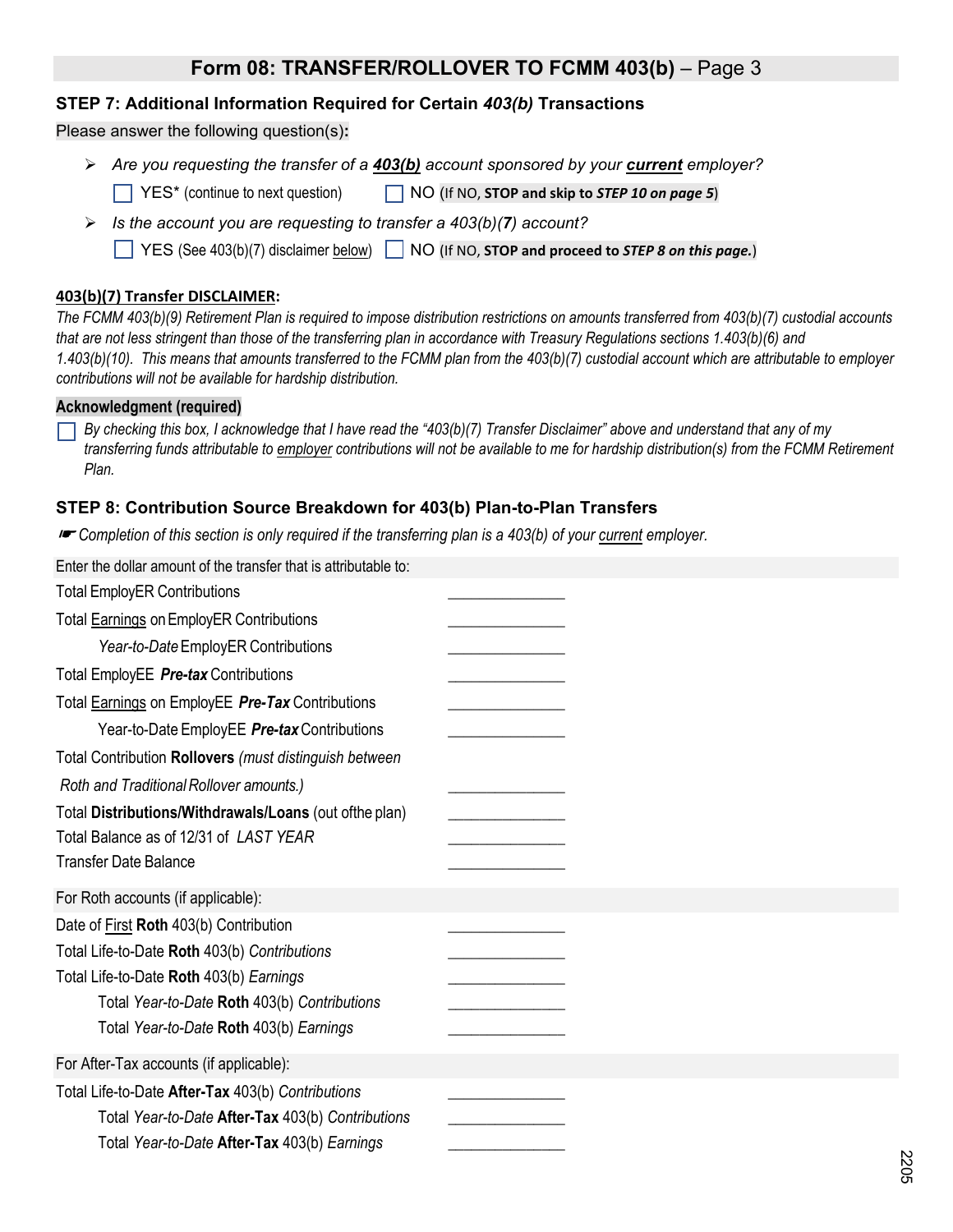# **Form 08: TRANSFER/ROLLOVER TO FCMM 403(b)** – Page 3

### **STEP 7: Additional Information Required for Certain** *403(b)* **Transactions**

#### Please answer the following question(s)**:**

- *Are you requesting the transfer of a 403(b) account sponsored by your current employer?*
	- YES\* (continue to next question) NO (If NO, **STOP and skip to** *STEP 10 on page 5*)
- *Is the account you are requesting to transfer a 403(b)(7) account?*
	- YES (See 403(b)(7) disclaimer below) NO (If NO, **STOP and proceed to** *STEP 8 on this page.*)

#### **403(b)(7) Transfer DISCLAIMER:**

*The FCMM 403(b)(9) Retirement Plan is required to impose distribution restrictions on amounts transferred from 403(b)(7) custodial accounts that are not less stringent than those of the transferring plan in accordance with Treasury Regulations sections 1.403(b)(6) and 1.403(b)(10). This means that amounts transferred to the FCMM plan from the 403(b)(7) custodial account which are attributable to employer contributions will not be available for hardship distribution.*

#### **Acknowledgment (required)**

*By checking this box, I acknowledge that I have read the "403(b)(7) Transfer Disclaimer" above and understand that any of my transferring funds attributable to employer contributions will not be available to me for hardship distribution(s) from the FCMM Retirement Plan.* 

#### **STEP 8: Contribution Source Breakdown for 403(b) Plan-to-Plan Transfers**

☛ *Completion of this section is only required if the transferring plan is a 403(b) of your current employer.* 

| Enter the dollar amount of the transfer that is attributable to: |  |
|------------------------------------------------------------------|--|
| <b>Total EmployER Contributions</b>                              |  |
| Total <b>Earnings</b> on EmployER Contributions                  |  |
| Year-to-Date EmployER Contributions                              |  |
| Total EmployEE Pre-tax Contributions                             |  |
| Total Earnings on EmployEE Pre-Tax Contributions                 |  |
| Year-to-Date EmployEE Pre-tax Contributions                      |  |
| Total Contribution Rollovers (must distinguish between           |  |
| Roth and Traditional Rollover amounts.)                          |  |
| Total Distributions/Withdrawals/Loans (out ofthe plan)           |  |
| Total Balance as of 12/31 of LAST YEAR                           |  |
| <b>Transfer Date Balance</b>                                     |  |
| For Roth accounts (if applicable):                               |  |
| Date of First Roth 403(b) Contribution                           |  |
| Total Life-to-Date Roth 403(b) Contributions                     |  |
| Total Life-to-Date Roth 403(b) Earnings                          |  |
| Total Year-to-Date Roth 403(b) Contributions                     |  |
| Total Year-to-Date Roth 403(b) Earnings                          |  |
| For After-Tax accounts (if applicable):                          |  |
| Total Life-to-Date After-Tax 403(b) Contributions                |  |
| Total Year-to-Date After-Tax 403(b) Contributions                |  |
| Total Year-to-Date After-Tax 403(b) Earnings                     |  |
|                                                                  |  |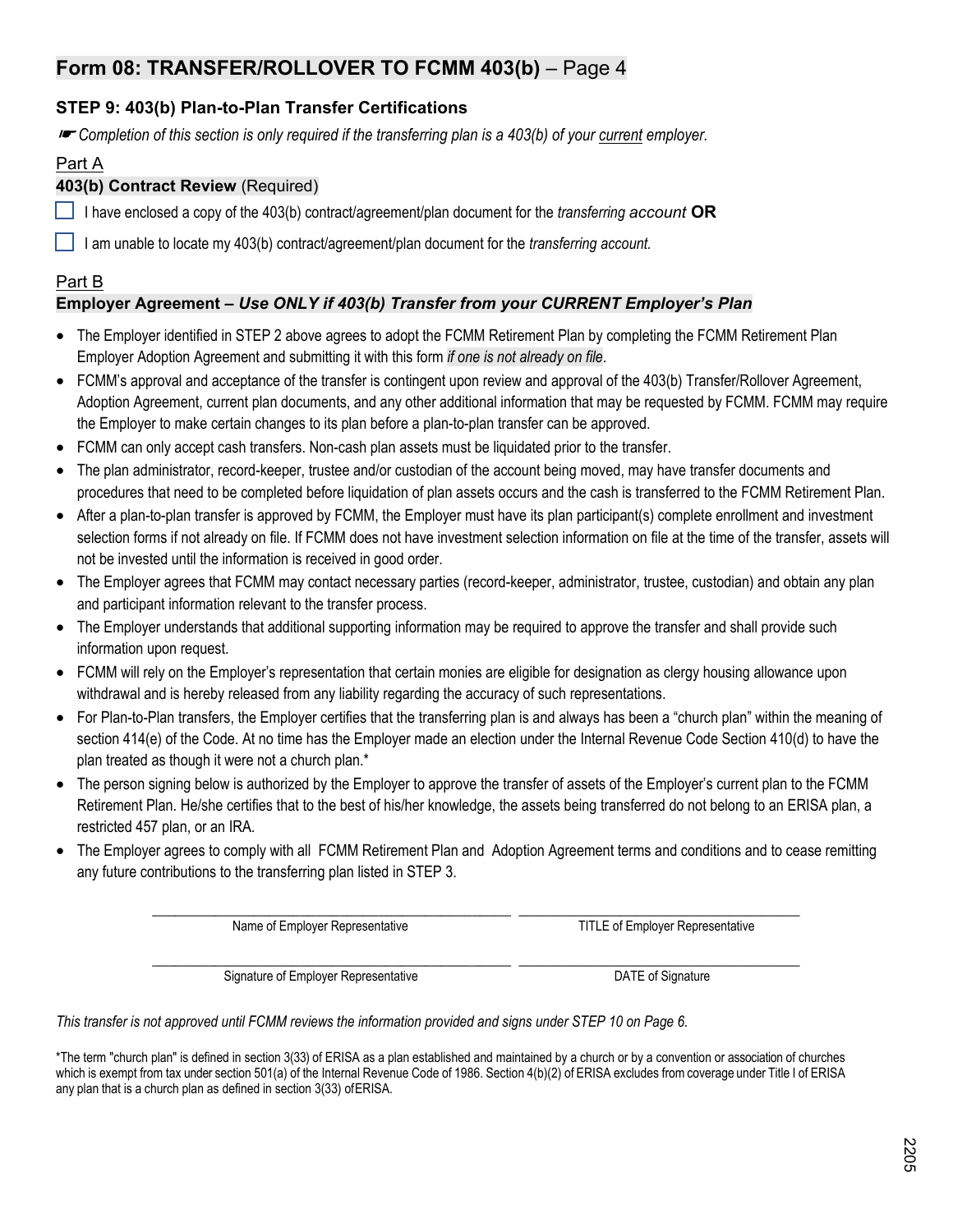# **Form 08: TRANSFER/ROLLOVER TO FCMM 403(b)** – Page 4

## **STEP 9: 403(b) Plan-to-Plan Transfer Certifications**

☛ *Completion of this section is only required if the transferring plan is a 403(b) of your current employer.*

### Part A

### **403(b) Contract Review** (Required)

I have enclosed a copy of the 403(b) contract/agreement/plan document for the *transferring account* **OR**

I am unable to locate my 403(b) contract/agreement/plan document for the *transferring account.*

### Part B

## **Employer Agreement –** *Use ONLY if 403(b) Transfer from your CURRENT Employer's Plan*

- The Employer identified in STEP 2 above agrees to adopt the FCMM Retirement Plan by completing the FCMM Retirement Plan Employer Adoption Agreement and submitting it with this form *if one is not already on file*.
- FCMM's approval and acceptance of the transfer is contingent upon review and approval of the 403(b) Transfer/Rollover Agreement, Adoption Agreement, current plan documents, and any other additional information that may be requested by FCMM. FCMM may require the Employer to make certain changes to its plan before a plan-to-plan transfer can be approved.
- FCMM can only accept cash transfers. Non-cash plan assets must be liquidated prior to the transfer.
- The plan administrator, record-keeper, trustee and/or custodian of the account being moved, may have transfer documents and procedures that need to be completed before liquidation of plan assets occurs and the cash is transferred to the FCMM Retirement Plan.
- After a plan-to-plan transfer is approved by FCMM, the Employer must have its plan participant(s) complete enrollment and investment selection forms if not already on file. If FCMM does not have investment selection information on file at the time of the transfer, assets will not be invested until the information is received in good order.
- The Employer agrees that FCMM may contact necessary parties (record-keeper, administrator, trustee, custodian) and obtain any plan and participant information relevant to the transfer process.
- The Employer understands that additional supporting information may be required to approve the transfer and shall provide such information upon request.
- FCMM will rely on the Employer's representation that certain monies are eligible for designation as clergy housing allowance upon withdrawal and is hereby released from any liability regarding the accuracy of such representations.
- For Plan-to-Plan transfers, the Employer certifies that the transferring plan is and always has been a "church plan" within the meaning of section 414(e) of the Code. At no time has the Employer made an election under the Internal Revenue Code Section 410(d) to have the plan treated as though it were not a church plan.\*
- The person signing below is authorized by the Employer to approve the transfer of assets of the Employer's current plan to the FCMM Retirement Plan. He/she certifies that to the best of his/her knowledge, the assets being transferred do not belong to an ERISA plan, a restricted 457 plan, or an IRA.
- The Employer agrees to comply with all FCMM Retirement Plan and Adoption Agreement terms and conditions and to cease remitting any future contributions to the transferring plan listed in STEP 3.

Name of Employer Representative **Name of Employer Representative** TITLE of Employer Representative

\_\_\_\_\_\_\_\_\_\_\_\_\_\_\_\_\_\_\_\_\_\_\_\_\_\_\_\_\_\_\_\_\_\_\_\_\_\_\_\_\_\_\_\_\_\_ \_\_\_\_\_\_\_\_\_\_\_\_\_\_\_\_\_\_\_\_\_\_\_\_\_\_\_\_\_\_\_\_\_\_\_\_ Signature of Employer Representative **Conservation** DATE of Signature

*This transfer is not approved until FCMM reviews the information provided and signs under STEP 10 on Page 6.* 

\*The term "church plan" is defined in section 3(33) of ERISA as a plan established and maintained by a church or by a convention or association of churches which is exempt from tax under section 501(a) of the Internal Revenue Code of 1986. Section 4(b)(2) of ERISA excludes from coverage under Title I of ERISA any plan that is a church plan as defined in section 3(33) of ERISA.